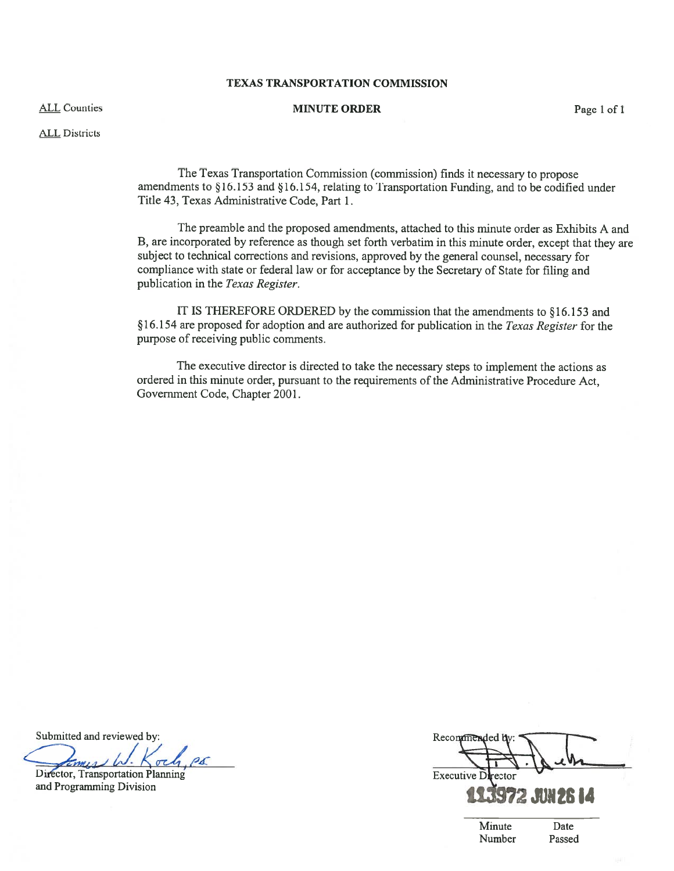## TEXAS TRANSPORTATION COMMISSION

#### ALL Counties

# MINUTE ORDER Page 1 of 1

ALL Districts

The Texas Transportation Commission (commission) finds it necessary to propose amendments to §16.153 and §16.154, relating to Transportation Funding, and to be codified under Title 43, Texas Administrative Code, Part 1.

The preamble and the proposed amendments, attached to this minute order as Exhibits A and B, are incorporated by reference as though set forth verbatim in this minute order, excep<sup>t</sup> that they are subject to technical corrections and revisions, approve<sup>d</sup> by the genera<sup>l</sup> counsel, necessary for compliance with state or federal law or for acceptance by the Secretary of State for filing and publication in the Texas Register.

IT IS THEREFORE ORDERED by the commission that the amendments to §16.153 and §16.154 are proposed for adoption and are authorized for publication in the Texas Register for the purpose of receiving public comments.

The executive director is directed to take the necessary steps to implement the actions as ordered in this minute order, pursuan<sup>t</sup> to the requirements of the Administrative Procedure Act, Government Code, Chapter 2001.

Submitted and reviewed by:

 $\rho_{\rm{A}}$ Director, Transportation Planning

and Programming Division

Recommen Executive I

Minute Date Number Passed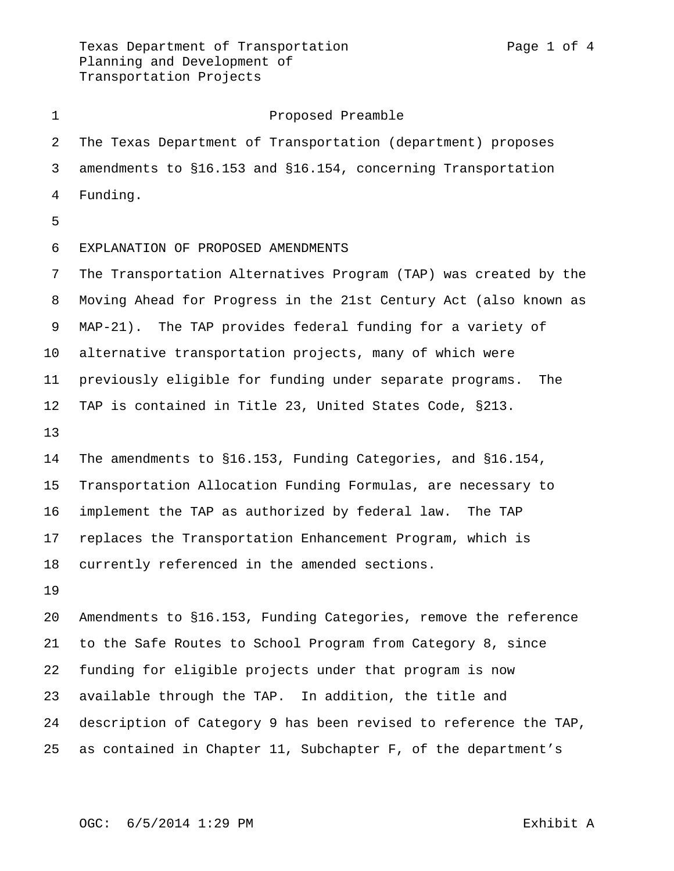Proposed Preamble The Texas Department of Transportation (department) proposes amendments to §16.153 and §16.154, concerning Transportation Funding. EXPLANATION OF PROPOSED AMENDMENTS The Transportation Alternatives Program (TAP) was created by the Moving Ahead for Progress in the 21st Century Act (also known as MAP-21). The TAP provides federal funding for a variety of alternative transportation projects, many of which were previously eligible for funding under separate programs. The TAP is contained in Title 23, United States Code, §213. The amendments to §16.153, Funding Categories, and §16.154, Transportation Allocation Funding Formulas, are necessary to implement the TAP as authorized by federal law. The TAP replaces the Transportation Enhancement Program, which is currently referenced in the amended sections. Amendments to §16.153, Funding Categories, remove the reference to the Safe Routes to School Program from Category 8, since funding for eligible projects under that program is now available through the TAP. In addition, the title and description of Category 9 has been revised to reference the TAP, as contained in Chapter 11, Subchapter F, of the department's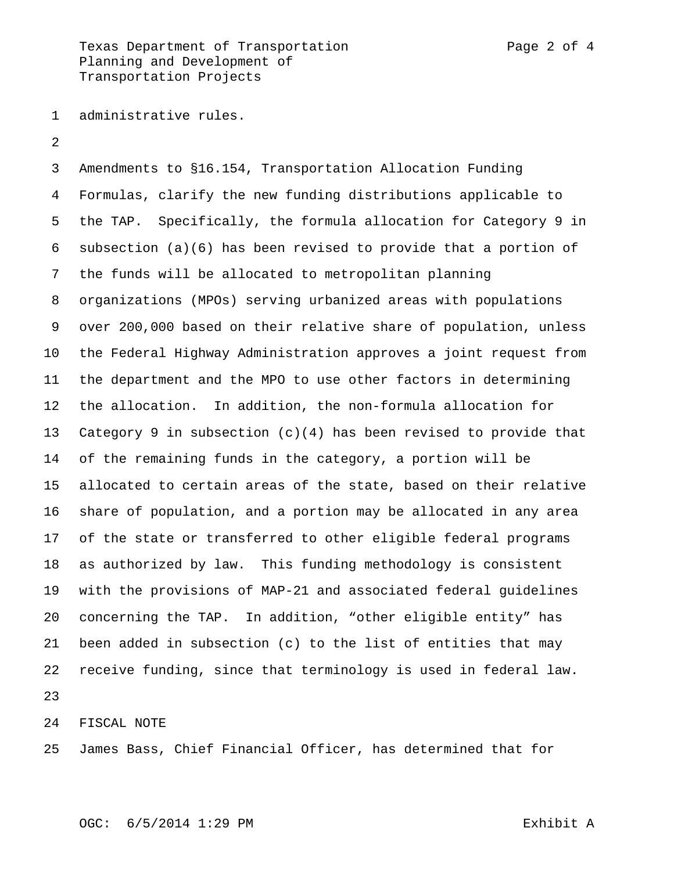Texas Department of Transportation Texas Page 2 of 4 Planning and Development of Transportation Projects

- administrative rules.
- 

 Amendments to §16.154, Transportation Allocation Funding Formulas, clarify the new funding distributions applicable to the TAP. Specifically, the formula allocation for Category 9 in subsection (a)(6) has been revised to provide that a portion of the funds will be allocated to metropolitan planning organizations (MPOs) serving urbanized areas with populations over 200,000 based on their relative share of population, unless the Federal Highway Administration approves a joint request from the department and the MPO to use other factors in determining the allocation. In addition, the non-formula allocation for Category 9 in subsection (c)(4) has been revised to provide that of the remaining funds in the category, a portion will be allocated to certain areas of the state, based on their relative share of population, and a portion may be allocated in any area of the state or transferred to other eligible federal programs as authorized by law. This funding methodology is consistent with the provisions of MAP-21 and associated federal guidelines concerning the TAP. In addition, "other eligible entity" has been added in subsection (c) to the list of entities that may receive funding, since that terminology is used in federal law. 

FISCAL NOTE

James Bass, Chief Financial Officer, has determined that for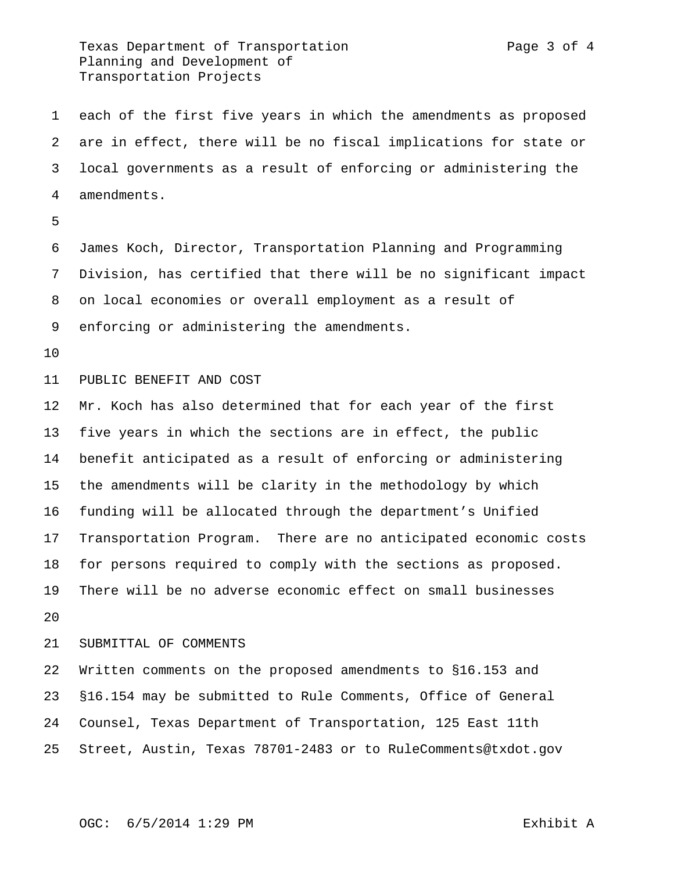Texas Department of Transportation **Page 3** of 4 Planning and Development of Transportation Projects

 each of the first five years in which the amendments as proposed are in effect, there will be no fiscal implications for state or local governments as a result of enforcing or administering the amendments.

 James Koch, Director, Transportation Planning and Programming Division, has certified that there will be no significant impact on local economies or overall employment as a result of enforcing or administering the amendments.

### PUBLIC BENEFIT AND COST

 Mr. Koch has also determined that for each year of the first five years in which the sections are in effect, the public benefit anticipated as a result of enforcing or administering the amendments will be clarity in the methodology by which funding will be allocated through the department's Unified Transportation Program. There are no anticipated economic costs for persons required to comply with the sections as proposed. There will be no adverse economic effect on small businesses 

#### SUBMITTAL OF COMMENTS

 Written comments on the proposed amendments to §16.153 and §16.154 may be submitted to Rule Comments, Office of General Counsel, Texas Department of Transportation, 125 East 11th Street, Austin, Texas 78701-2483 or to RuleComments@txdot.gov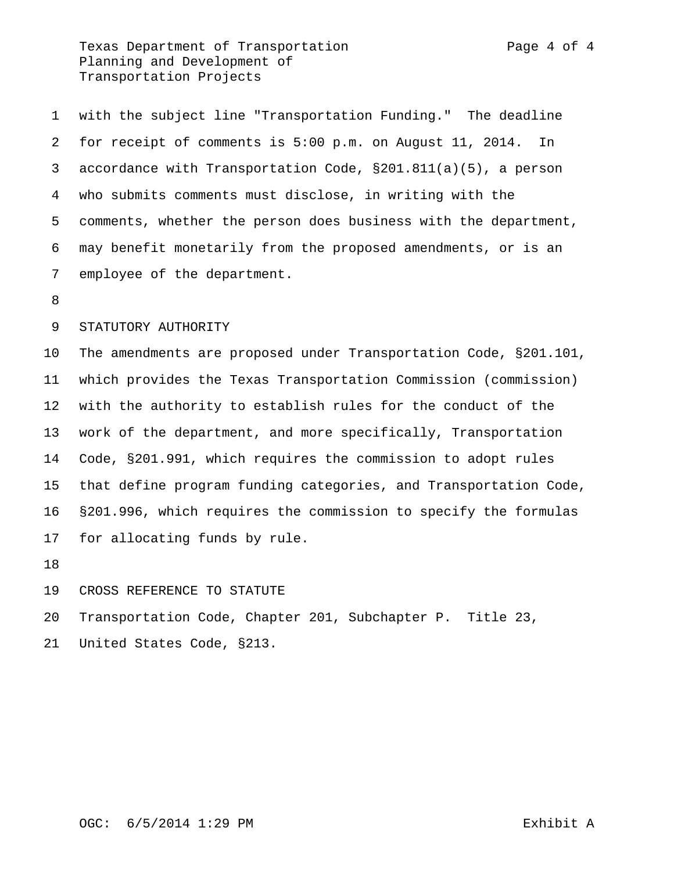Texas Department of Transportation Texas Page 4 of 4 Planning and Development of Transportation Projects

 with the subject line "Transportation Funding." The deadline for receipt of comments is 5:00 p.m. on August 11, 2014. In accordance with Transportation Code, §201.811(a)(5), a person who submits comments must disclose, in writing with the comments, whether the person does business with the department, may benefit monetarily from the proposed amendments, or is an employee of the department.

### STATUTORY AUTHORITY

 The amendments are proposed under Transportation Code, §201.101, which provides the Texas Transportation Commission (commission) with the authority to establish rules for the conduct of the work of the department, and more specifically, Transportation Code, §201.991, which requires the commission to adopt rules that define program funding categories, and Transportation Code, §201.996, which requires the commission to specify the formulas for allocating funds by rule.

#### CROSS REFERENCE TO STATUTE

Transportation Code, Chapter 201, Subchapter P. Title 23,

United States Code, §213.

# OGC: 6/5/2014 1:29 PM Exhibit A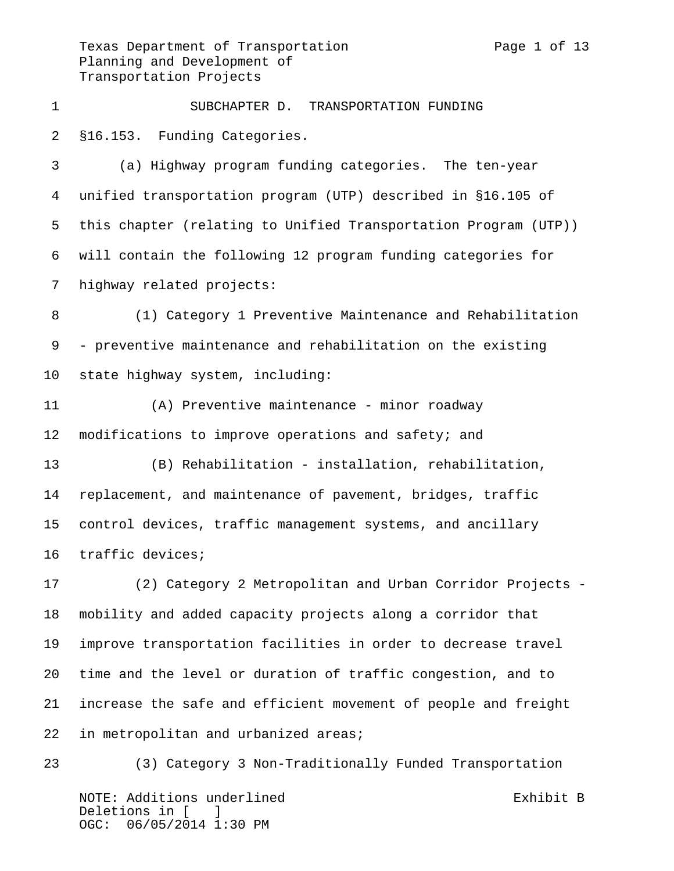Texas Department of Transportation Texas Page 1 of 13 Planning and Development of Transportation Projects

 SUBCHAPTER D. TRANSPORTATION FUNDING §16.153. Funding Categories. (a) Highway program funding categories. The ten-year unified transportation program (UTP) described in §16.105 of this chapter (relating to Unified Transportation Program (UTP))

will contain the following 12 program funding categories for

highway related projects:

 (1) Category 1 Preventive Maintenance and Rehabilitation - preventive maintenance and rehabilitation on the existing state highway system, including:

 (A) Preventive maintenance - minor roadway modifications to improve operations and safety; and

 (B) Rehabilitation - installation, rehabilitation, replacement, and maintenance of pavement, bridges, traffic control devices, traffic management systems, and ancillary traffic devices;

 (2) Category 2 Metropolitan and Urban Corridor Projects - mobility and added capacity projects along a corridor that improve transportation facilities in order to decrease travel time and the level or duration of traffic congestion, and to increase the safe and efficient movement of people and freight in metropolitan and urbanized areas;

NOTE: Additions underlined exhibit B Deletions in [ ] OGC: 06/05/2014 1:30 PM (3) Category 3 Non-Traditionally Funded Transportation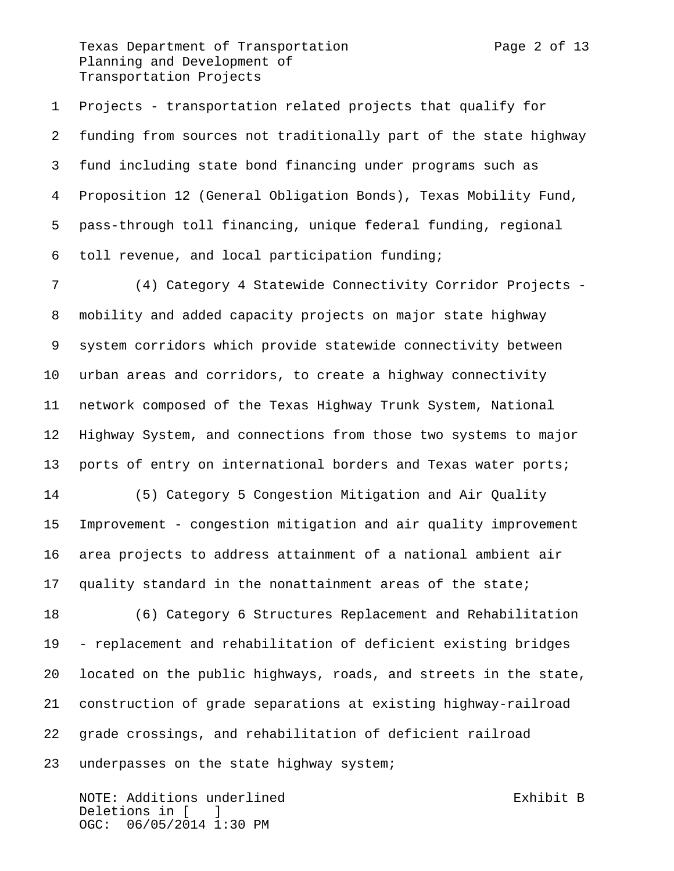Texas Department of Transportation Texas Page 2 of 13 Planning and Development of Transportation Projects

 Projects - transportation related projects that qualify for funding from sources not traditionally part of the state highway fund including state bond financing under programs such as Proposition 12 (General Obligation Bonds), Texas Mobility Fund, pass-through toll financing, unique federal funding, regional toll revenue, and local participation funding;

 (4) Category 4 Statewide Connectivity Corridor Projects - mobility and added capacity projects on major state highway system corridors which provide statewide connectivity between urban areas and corridors, to create a highway connectivity network composed of the Texas Highway Trunk System, National Highway System, and connections from those two systems to major ports of entry on international borders and Texas water ports;

 (5) Category 5 Congestion Mitigation and Air Quality Improvement - congestion mitigation and air quality improvement area projects to address attainment of a national ambient air quality standard in the nonattainment areas of the state;

 (6) Category 6 Structures Replacement and Rehabilitation - replacement and rehabilitation of deficient existing bridges located on the public highways, roads, and streets in the state, construction of grade separations at existing highway-railroad grade crossings, and rehabilitation of deficient railroad underpasses on the state highway system;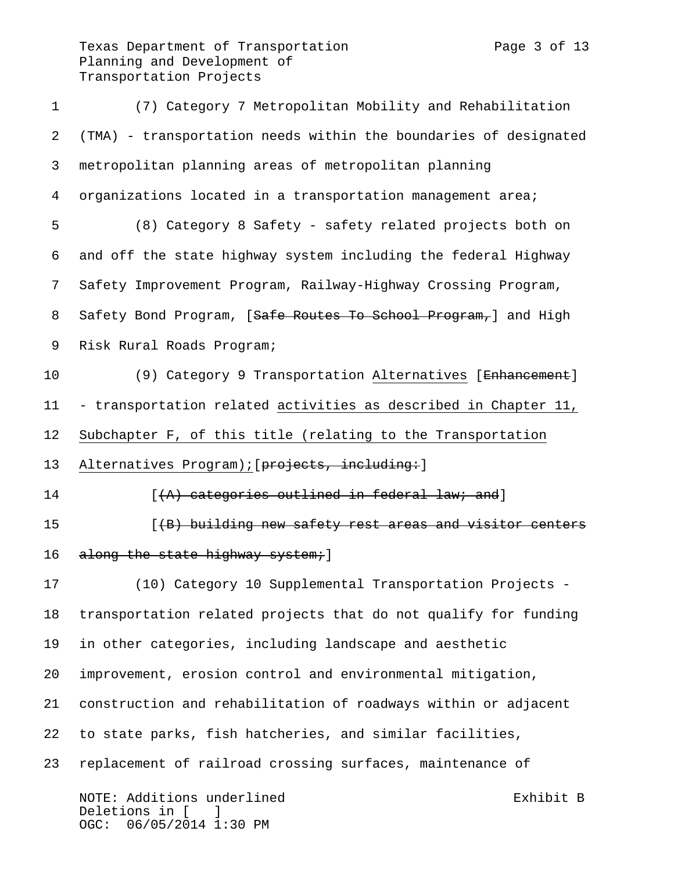Texas Department of Transportation Texas Page 3 of 13 Planning and Development of Transportation Projects

 (7) Category 7 Metropolitan Mobility and Rehabilitation (TMA) - transportation needs within the boundaries of designated metropolitan planning areas of metropolitan planning organizations located in a transportation management area; (8) Category 8 Safety - safety related projects both on and off the state highway system including the federal Highway Safety Improvement Program, Railway-Highway Crossing Program, 8 Safety Bond Program, [Safe Routes To School Program,] and High Risk Rural Roads Program; 10 (9) Category 9 Transportation Alternatives [Enhancement] - transportation related activities as described in Chapter 11, Subchapter F, of this title (relating to the Transportation 13 Alternatives Program); [projects, including: ] **Inc.** [(A) categories outlined in federal law; and] **15 Example 2 (A)** building new safety rest areas and visitor centers 16 along the state highway system; ] (10) Category 10 Supplemental Transportation Projects - transportation related projects that do not qualify for funding in other categories, including landscape and aesthetic improvement, erosion control and environmental mitigation, construction and rehabilitation of roadways within or adjacent to state parks, fish hatcheries, and similar facilities, replacement of railroad crossing surfaces, maintenance of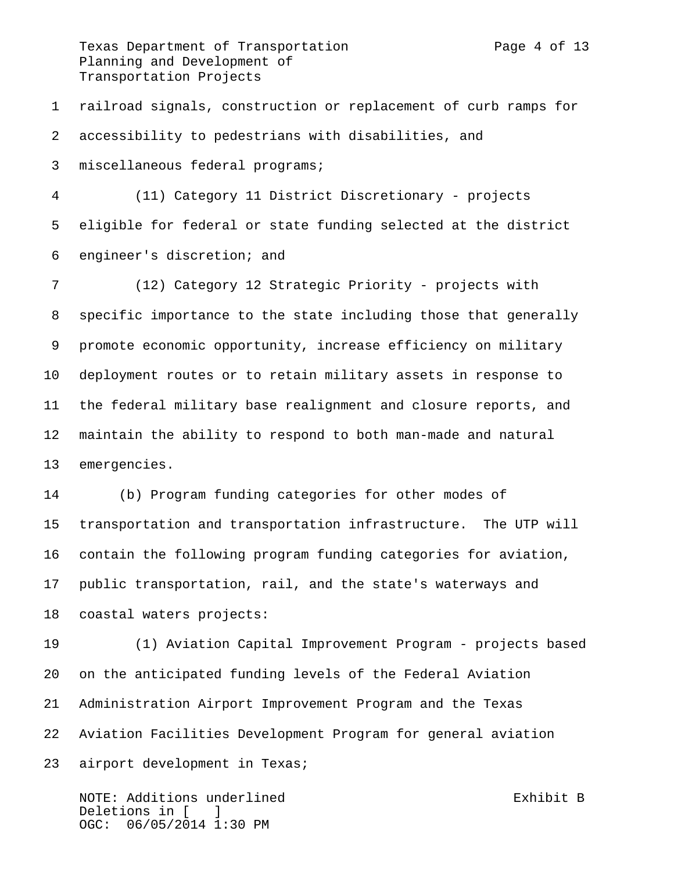Texas Department of Transportation Texas Page 4 of 13 Planning and Development of Transportation Projects

 railroad signals, construction or replacement of curb ramps for accessibility to pedestrians with disabilities, and

miscellaneous federal programs;

 (11) Category 11 District Discretionary - projects eligible for federal or state funding selected at the district engineer's discretion; and

 (12) Category 12 Strategic Priority - projects with specific importance to the state including those that generally promote economic opportunity, increase efficiency on military deployment routes or to retain military assets in response to the federal military base realignment and closure reports, and maintain the ability to respond to both man-made and natural emergencies.

 (b) Program funding categories for other modes of transportation and transportation infrastructure. The UTP will contain the following program funding categories for aviation, public transportation, rail, and the state's waterways and coastal waters projects:

 (1) Aviation Capital Improvement Program - projects based on the anticipated funding levels of the Federal Aviation Administration Airport Improvement Program and the Texas Aviation Facilities Development Program for general aviation airport development in Texas;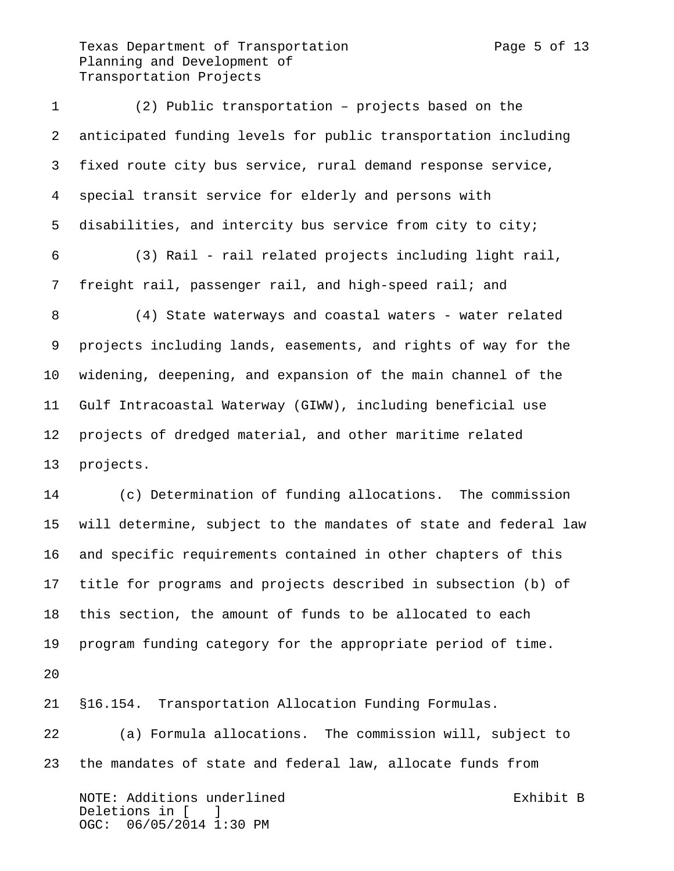Texas Department of Transportation Texas Page 5 of 13 Planning and Development of Transportation Projects

 (2) Public transportation – projects based on the anticipated funding levels for public transportation including fixed route city bus service, rural demand response service, special transit service for elderly and persons with disabilities, and intercity bus service from city to city; (3) Rail - rail related projects including light rail, freight rail, passenger rail, and high-speed rail; and 8 (4) State waterways and coastal waters - water related projects including lands, easements, and rights of way for the widening, deepening, and expansion of the main channel of the Gulf Intracoastal Waterway (GIWW), including beneficial use projects of dredged material, and other maritime related projects. (c) Determination of funding allocations. The commission will determine, subject to the mandates of state and federal law and specific requirements contained in other chapters of this title for programs and projects described in subsection (b) of this section, the amount of funds to be allocated to each program funding category for the appropriate period of time. 

§16.154. Transportation Allocation Funding Formulas.

 (a) Formula allocations. The commission will, subject to the mandates of state and federal law, allocate funds from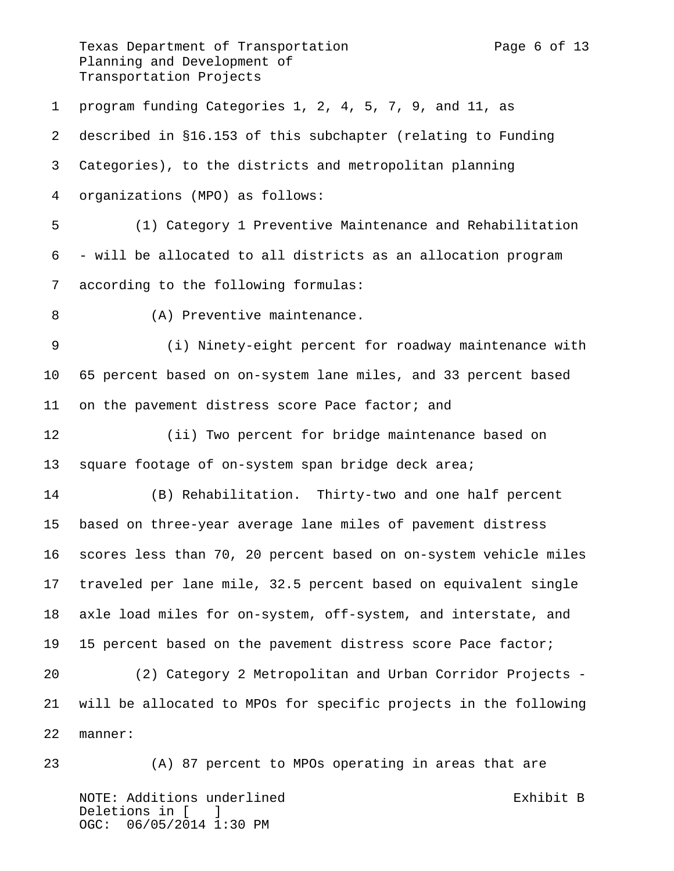Texas Department of Transportation Texas Page 6 of 13 Planning and Development of Transportation Projects

 program funding Categories 1, 2, 4, 5, 7, 9, and 11, as described in §16.153 of this subchapter (relating to Funding Categories), to the districts and metropolitan planning organizations (MPO) as follows: (1) Category 1 Preventive Maintenance and Rehabilitation - will be allocated to all districts as an allocation program according to the following formulas: (A) Preventive maintenance. (i) Ninety-eight percent for roadway maintenance with 65 percent based on on-system lane miles, and 33 percent based 11 on the pavement distress score Pace factor; and (ii) Two percent for bridge maintenance based on 13 square footage of on-system span bridge deck area; (B) Rehabilitation. Thirty-two and one half percent based on three-year average lane miles of pavement distress scores less than 70, 20 percent based on on-system vehicle miles traveled per lane mile, 32.5 percent based on equivalent single axle load miles for on-system, off-system, and interstate, and 15 percent based on the pavement distress score Pace factor; (2) Category 2 Metropolitan and Urban Corridor Projects - will be allocated to MPOs for specific projects in the following manner: (A) 87 percent to MPOs operating in areas that are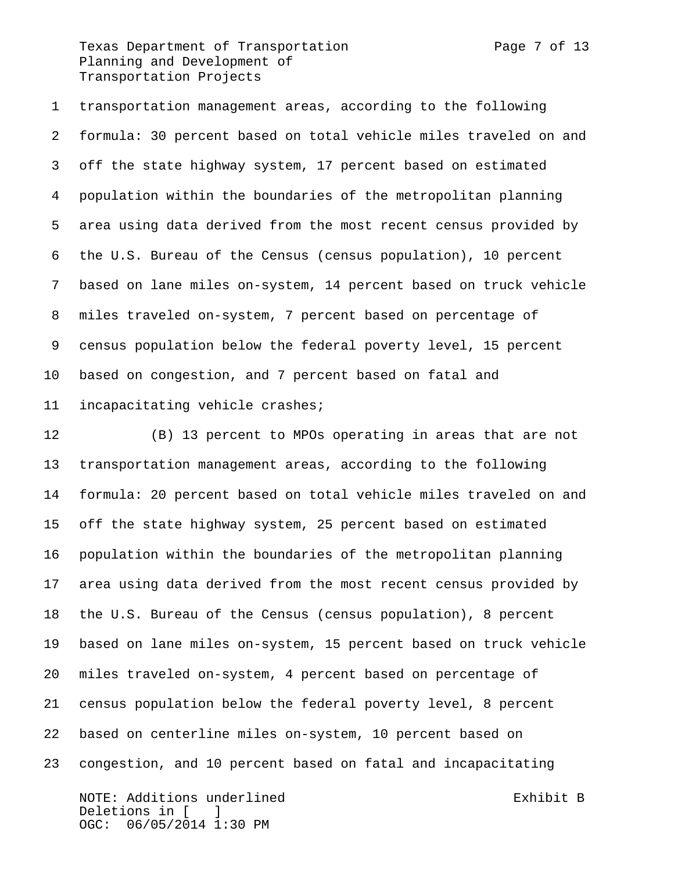Texas Department of Transportation Texas Page 7 of 13 Planning and Development of Transportation Projects

 transportation management areas, according to the following formula: 30 percent based on total vehicle miles traveled on and off the state highway system, 17 percent based on estimated population within the boundaries of the metropolitan planning area using data derived from the most recent census provided by the U.S. Bureau of the Census (census population), 10 percent based on lane miles on-system, 14 percent based on truck vehicle miles traveled on-system, 7 percent based on percentage of census population below the federal poverty level, 15 percent based on congestion, and 7 percent based on fatal and incapacitating vehicle crashes;

 (B) 13 percent to MPOs operating in areas that are not transportation management areas, according to the following formula: 20 percent based on total vehicle miles traveled on and off the state highway system, 25 percent based on estimated population within the boundaries of the metropolitan planning area using data derived from the most recent census provided by the U.S. Bureau of the Census (census population), 8 percent based on lane miles on-system, 15 percent based on truck vehicle miles traveled on-system, 4 percent based on percentage of census population below the federal poverty level, 8 percent based on centerline miles on-system, 10 percent based on congestion, and 10 percent based on fatal and incapacitating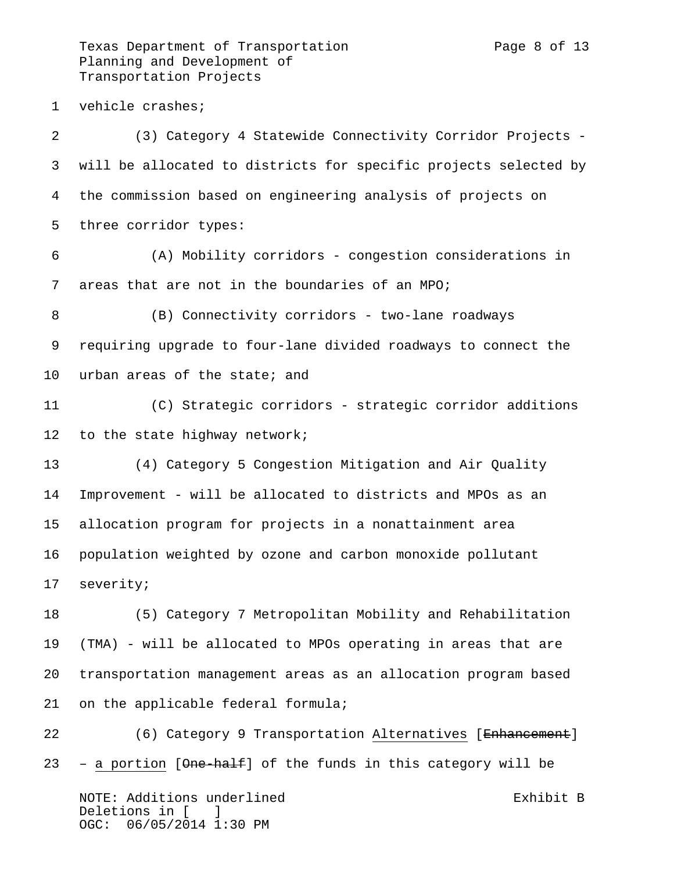Texas Department of Transportation Texas Page 8 of 13 Planning and Development of Transportation Projects

vehicle crashes;

 (3) Category 4 Statewide Connectivity Corridor Projects - will be allocated to districts for specific projects selected by the commission based on engineering analysis of projects on three corridor types: (A) Mobility corridors - congestion considerations in areas that are not in the boundaries of an MPO; (B) Connectivity corridors - two-lane roadways requiring upgrade to four-lane divided roadways to connect the urban areas of the state; and (C) Strategic corridors - strategic corridor additions 12 to the state highway network; (4) Category 5 Congestion Mitigation and Air Quality Improvement - will be allocated to districts and MPOs as an allocation program for projects in a nonattainment area population weighted by ozone and carbon monoxide pollutant severity; (5) Category 7 Metropolitan Mobility and Rehabilitation (TMA) - will be allocated to MPOs operating in areas that are transportation management areas as an allocation program based

on the applicable federal formula;

 (6) Category 9 Transportation Alternatives [Enhancement] 23 – a portion  $[One-half]$  of the funds in this category will be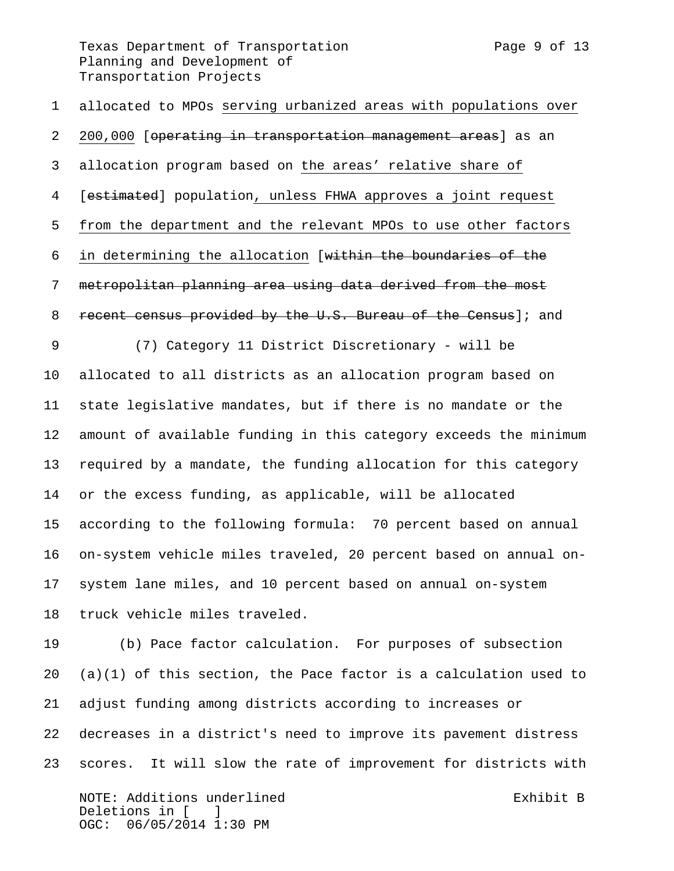Texas Department of Transportation Texas Page 9 of 13 Planning and Development of Transportation Projects

 allocated to MPOs serving urbanized areas with populations over 2 200,000 [operating in transportation management areas] as an allocation program based on the areas' relative share of 4 [estimated] population, unless FHWA approves a joint request from the department and the relevant MPOs to use other factors in determining the allocation [within the boundaries of the metropolitan planning area using data derived from the most recent census provided by the U.S. Bureau of the Census]; and (7) Category 11 District Discretionary - will be allocated to all districts as an allocation program based on state legislative mandates, but if there is no mandate or the amount of available funding in this category exceeds the minimum required by a mandate, the funding allocation for this category or the excess funding, as applicable, will be allocated according to the following formula: 70 percent based on annual on-system vehicle miles traveled, 20 percent based on annual on- system lane miles, and 10 percent based on annual on-system truck vehicle miles traveled.

 (b) Pace factor calculation. For purposes of subsection (a)(1) of this section, the Pace factor is a calculation used to adjust funding among districts according to increases or decreases in a district's need to improve its pavement distress scores. It will slow the rate of improvement for districts with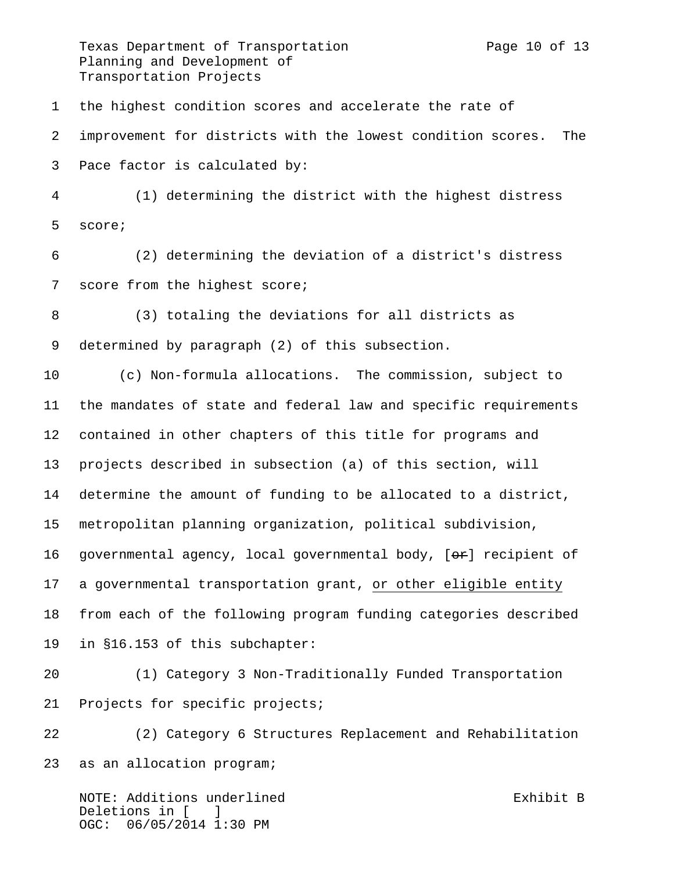Texas Department of Transportation Texas Page 10 of 13 Planning and Development of Transportation Projects

 the highest condition scores and accelerate the rate of improvement for districts with the lowest condition scores. The Pace factor is calculated by: (1) determining the district with the highest distress score; (2) determining the deviation of a district's distress score from the highest score; (3) totaling the deviations for all districts as determined by paragraph (2) of this subsection. (c) Non-formula allocations. The commission, subject to the mandates of state and federal law and specific requirements contained in other chapters of this title for programs and projects described in subsection (a) of this section, will determine the amount of funding to be allocated to a district, metropolitan planning organization, political subdivision, 16 governmental agency, local governmental body,  $[ $\Theta$ reforment of$  a governmental transportation grant, or other eligible entity from each of the following program funding categories described in §16.153 of this subchapter: (1) Category 3 Non-Traditionally Funded Transportation Projects for specific projects;

 (2) Category 6 Structures Replacement and Rehabilitation as an allocation program;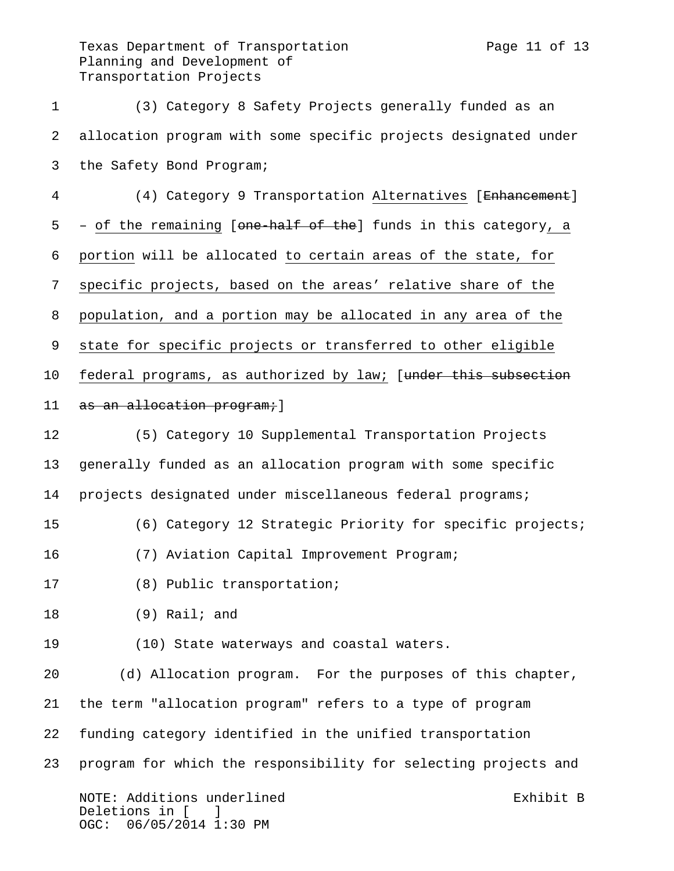Texas Department of Transportation Texas Page 11 of 13 Planning and Development of Transportation Projects

 (3) Category 8 Safety Projects generally funded as an allocation program with some specific projects designated under the Safety Bond Program; 4 (4) Category 9 Transportation Alternatives [Enhancement]

5 – of the remaining [<del>one-half of the</del>] funds in this category, a portion will be allocated to certain areas of the state, for specific projects, based on the areas' relative share of the population, and a portion may be allocated in any area of the state for specific projects or transferred to other eligible 10 federal programs, as authorized by law; [under this subsection 11 as an allocation program; ]

 (5) Category 10 Supplemental Transportation Projects generally funded as an allocation program with some specific projects designated under miscellaneous federal programs;

- (6) Category 12 Strategic Priority for specific projects;
- (7) Aviation Capital Improvement Program;
- (8) Public transportation;

(9) Rail; and

(10) State waterways and coastal waters.

 (d) Allocation program. For the purposes of this chapter, the term "allocation program" refers to a type of program funding category identified in the unified transportation program for which the responsibility for selecting projects and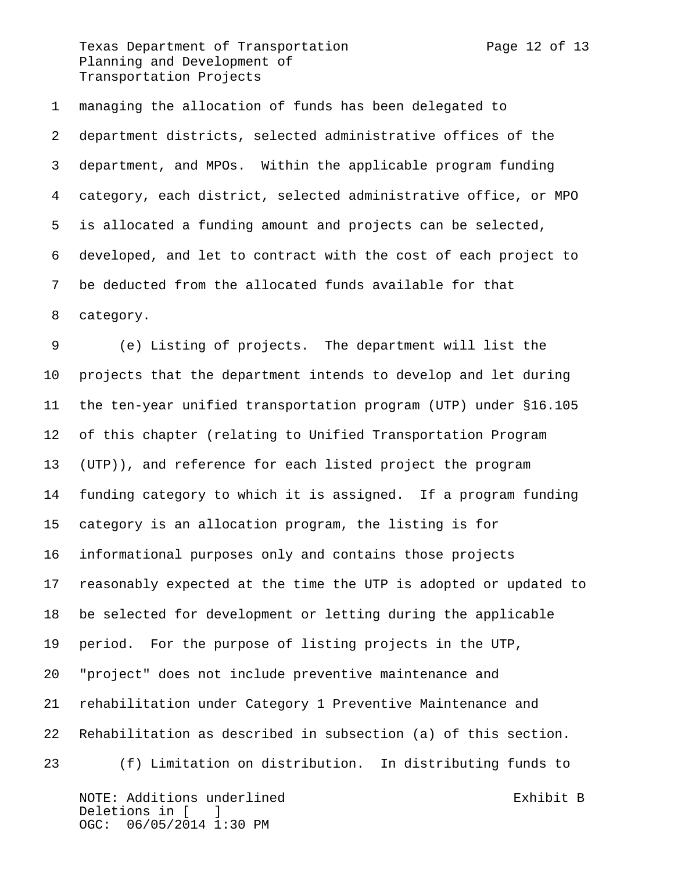Texas Department of Transportation Fage 12 of 13 Planning and Development of Transportation Projects

 managing the allocation of funds has been delegated to department districts, selected administrative offices of the department, and MPOs. Within the applicable program funding category, each district, selected administrative office, or MPO is allocated a funding amount and projects can be selected, developed, and let to contract with the cost of each project to be deducted from the allocated funds available for that category.

 (e) Listing of projects. The department will list the projects that the department intends to develop and let during the ten-year unified transportation program (UTP) under §16.105 of this chapter (relating to Unified Transportation Program (UTP)), and reference for each listed project the program funding category to which it is assigned. If a program funding category is an allocation program, the listing is for informational purposes only and contains those projects reasonably expected at the time the UTP is adopted or updated to be selected for development or letting during the applicable period. For the purpose of listing projects in the UTP, "project" does not include preventive maintenance and rehabilitation under Category 1 Preventive Maintenance and Rehabilitation as described in subsection (a) of this section. (f) Limitation on distribution. In distributing funds to